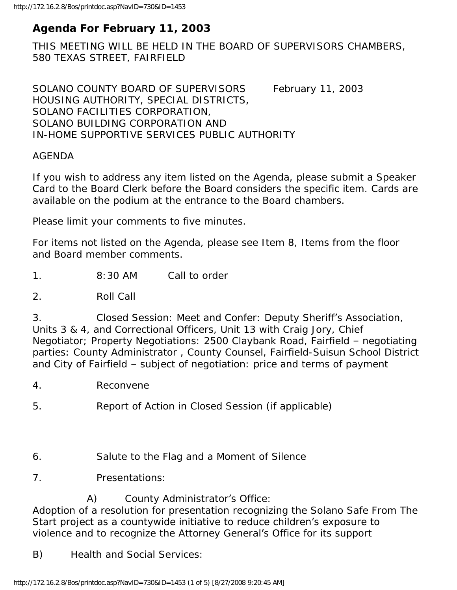# **Agenda For February 11, 2003**

THIS MEETING WILL BE HELD IN THE BOARD OF SUPERVISORS CHAMBERS, 580 TEXAS STREET, FAIRFIELD

SOLANO COUNTY BOARD OF SUPERVISORS February 11, 2003 HOUSING AUTHORITY, SPECIAL DISTRICTS, SOLANO FACILITIES CORPORATION, SOLANO BUILDING CORPORATION AND IN-HOME SUPPORTIVE SERVICES PUBLIC AUTHORITY

#### AGENDA

If you wish to address any item listed on the Agenda, please submit a Speaker Card to the Board Clerk before the Board considers the specific item. Cards are available on the podium at the entrance to the Board chambers.

Please limit your comments to five minutes.

For items not listed on the Agenda, please see Item 8, Items from the floor and Board member comments.

1. 8:30 AM Call to order

2. Roll Call

3. Closed Session: Meet and Confer: Deputy Sheriff's Association, Units 3 & 4, and Correctional Officers, Unit 13 with Craig Jory, Chief Negotiator; Property Negotiations: 2500 Claybank Road, Fairfield – negotiating parties: County Administrator , County Counsel, Fairfield-Suisun School District and City of Fairfield – subject of negotiation: price and terms of payment

- 4. Reconvene
- 5. Report of Action in Closed Session (if applicable)
- 6. Salute to the Flag and a Moment of Silence
- 7. Presentations:

A) County Administrator's Office:

Adoption of a resolution for presentation recognizing the Solano Safe From The Start project as a countywide initiative to reduce children's exposure to violence and to recognize the Attorney General's Office for its support

B) Health and Social Services: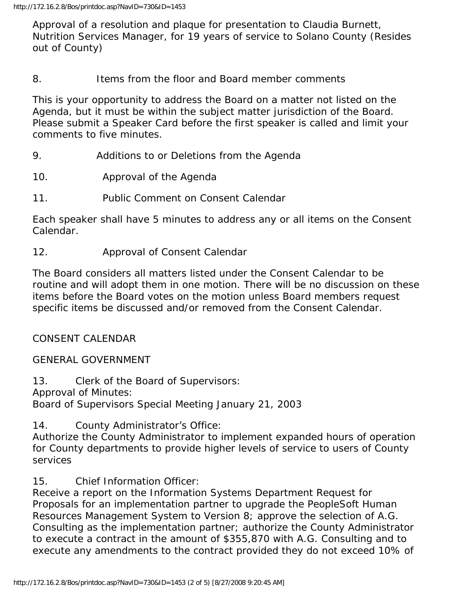Approval of a resolution and plaque for presentation to Claudia Burnett, Nutrition Services Manager, for 19 years of service to Solano County (Resides out of County)

8. Items from the floor and Board member comments

This is your opportunity to address the Board on a matter not listed on the Agenda, but it must be within the subject matter jurisdiction of the Board. Please submit a Speaker Card before the first speaker is called and limit your comments to five minutes.

- 9. Additions to or Deletions from the Agenda
- 10. Approval of the Agenda
- 11. Public Comment on Consent Calendar

Each speaker shall have 5 minutes to address any or all items on the Consent Calendar.

12. Approval of Consent Calendar

The Board considers all matters listed under the Consent Calendar to be routine and will adopt them in one motion. There will be no discussion on these items before the Board votes on the motion unless Board members request specific items be discussed and/or removed from the Consent Calendar.

CONSENT CALENDAR

GENERAL GOVERNMENT

13. Clerk of the Board of Supervisors:

Approval of Minutes:

Board of Supervisors Special Meeting January 21, 2003

14. County Administrator's Office:

Authorize the County Administrator to implement expanded hours of operation for County departments to provide higher levels of service to users of County services

15. Chief Information Officer:

Receive a report on the Information Systems Department Request for Proposals for an implementation partner to upgrade the PeopleSoft Human Resources Management System to Version 8; approve the selection of A.G. Consulting as the implementation partner; authorize the County Administrator to execute a contract in the amount of \$355,870 with A.G. Consulting and to execute any amendments to the contract provided they do not exceed 10% of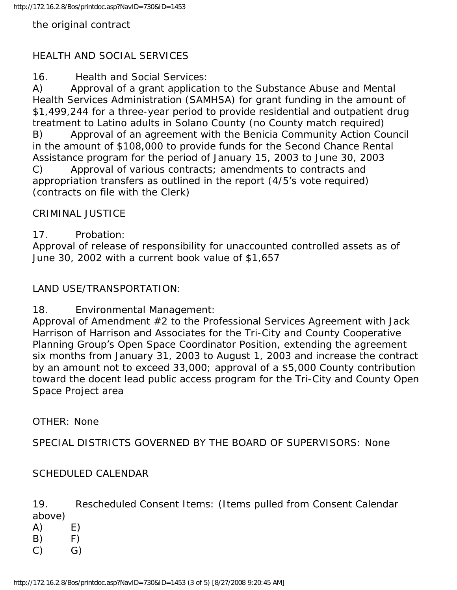the original contract

## HEALTH AND SOCIAL SERVICES

16. Health and Social Services:

A) Approval of a grant application to the Substance Abuse and Mental Health Services Administration (SAMHSA) for grant funding in the amount of \$1,499,244 for a three-year period to provide residential and outpatient drug treatment to Latino adults in Solano County (no County match required) B) Approval of an agreement with the Benicia Community Action Council in the amount of \$108,000 to provide funds for the Second Chance Rental Assistance program for the period of January 15, 2003 to June 30, 2003 C) Approval of various contracts; amendments to contracts and appropriation transfers as outlined in the report (4/5's vote required) (contracts on file with the Clerk)

#### CRIMINAL JUSTICE

## 17. Probation:

Approval of release of responsibility for unaccounted controlled assets as of June 30, 2002 with a current book value of \$1,657

#### LAND USE/TRANSPORTATION:

18. Environmental Management:

Approval of Amendment #2 to the Professional Services Agreement with Jack Harrison of Harrison and Associates for the Tri-City and County Cooperative Planning Group's Open Space Coordinator Position, extending the agreement six months from January 31, 2003 to August 1, 2003 and increase the contract by an amount not to exceed 33,000; approval of a \$5,000 County contribution toward the docent lead public access program for the Tri-City and County Open Space Project area

OTHER: None

SPECIAL DISTRICTS GOVERNED BY THE BOARD OF SUPERVISORS: None

## SCHEDULED CALENDAR

19. Rescheduled Consent Items: (Items pulled from Consent Calendar above)

- A) E)  $(B)$  F)
- $(C)$   $(G)$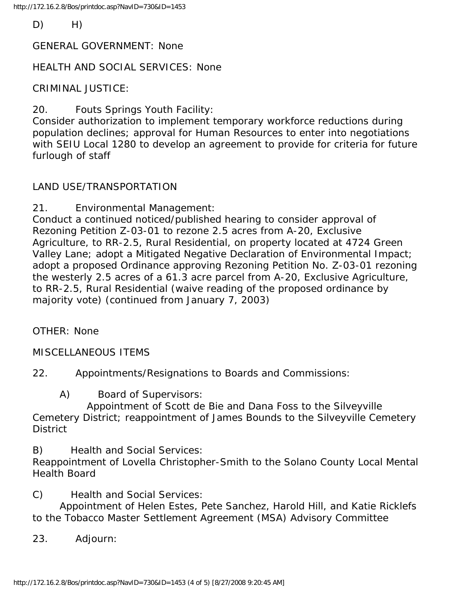D) H)

GENERAL GOVERNMENT: None

HEALTH AND SOCIAL SERVICES: None

CRIMINAL JUSTICE:

20. Fouts Springs Youth Facility:

Consider authorization to implement temporary workforce reductions during population declines; approval for Human Resources to enter into negotiations with SEIU Local 1280 to develop an agreement to provide for criteria for future furlough of staff

## LAND USE/TRANSPORTATION

21. Environmental Management:

Conduct a continued noticed/published hearing to consider approval of Rezoning Petition Z-03-01 to rezone 2.5 acres from A-20, Exclusive Agriculture, to RR-2.5, Rural Residential, on property located at 4724 Green Valley Lane; adopt a Mitigated Negative Declaration of Environmental Impact; adopt a proposed Ordinance approving Rezoning Petition No. Z-03-01 rezoning the westerly 2.5 acres of a 61.3 acre parcel from A-20, Exclusive Agriculture, to RR-2.5, Rural Residential (waive reading of the proposed ordinance by majority vote) (continued from January 7, 2003)

OTHER: None

MISCELLANEOUS ITEMS

22. Appointments/Resignations to Boards and Commissions:

A) Board of Supervisors:

 Appointment of Scott de Bie and Dana Foss to the Silveyville Cemetery District; reappointment of James Bounds to the Silveyville Cemetery **District** 

B) Health and Social Services:

Reappointment of Lovella Christopher-Smith to the Solano County Local Mental Health Board

C) Health and Social Services:

 Appointment of Helen Estes, Pete Sanchez, Harold Hill, and Katie Ricklefs to the Tobacco Master Settlement Agreement (MSA) Advisory Committee

23. Adjourn: